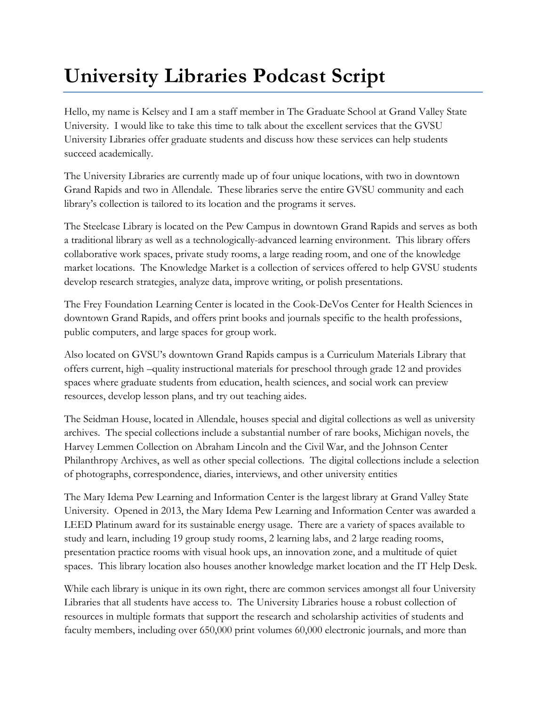## **University Libraries Podcast Script**

Hello, my name is Kelsey and I am a staff member in The Graduate School at Grand Valley State University. I would like to take this time to talk about the excellent services that the GVSU University Libraries offer graduate students and discuss how these services can help students succeed academically.

The University Libraries are currently made up of four unique locations, with two in downtown Grand Rapids and two in Allendale. These libraries serve the entire GVSU community and each library's collection is tailored to its location and the programs it serves.

The Steelcase Library is located on the Pew Campus in downtown Grand Rapids and serves as both a traditional library as well as a technologically-advanced learning environment. This library offers collaborative work spaces, private study rooms, a large reading room, and one of the knowledge market locations. The Knowledge Market is a collection of services offered to help GVSU students develop research strategies, analyze data, improve writing, or polish presentations.

The Frey Foundation Learning Center is located in the Cook-DeVos Center for Health Sciences in downtown Grand Rapids, and offers print books and journals specific to the health professions, public computers, and large spaces for group work.

Also located on GVSU's downtown Grand Rapids campus is a Curriculum Materials Library that offers current, high –quality instructional materials for preschool through grade 12 and provides spaces where graduate students from education, health sciences, and social work can preview resources, develop lesson plans, and try out teaching aides.

The Seidman House, located in Allendale, houses special and digital collections as well as university archives. The special collections include a substantial number of rare books, Michigan novels, the Harvey Lemmen Collection on Abraham Lincoln and the Civil War, and the Johnson Center Philanthropy Archives, as well as other special collections. The digital collections include a selection of photographs, correspondence, diaries, interviews, and other university entities

The Mary Idema Pew Learning and Information Center is the largest library at Grand Valley State University. Opened in 2013, the Mary Idema Pew Learning and Information Center was awarded a LEED Platinum award for its sustainable energy usage. There are a variety of spaces available to study and learn, including 19 group study rooms, 2 learning labs, and 2 large reading rooms, presentation practice rooms with visual hook ups, an innovation zone, and a multitude of quiet spaces. This library location also houses another knowledge market location and the IT Help Desk.

While each library is unique in its own right, there are common services amongst all four University Libraries that all students have access to. The University Libraries house a robust collection of resources in multiple formats that support the research and scholarship activities of students and faculty members, including over 650,000 print volumes 60,000 electronic journals, and more than